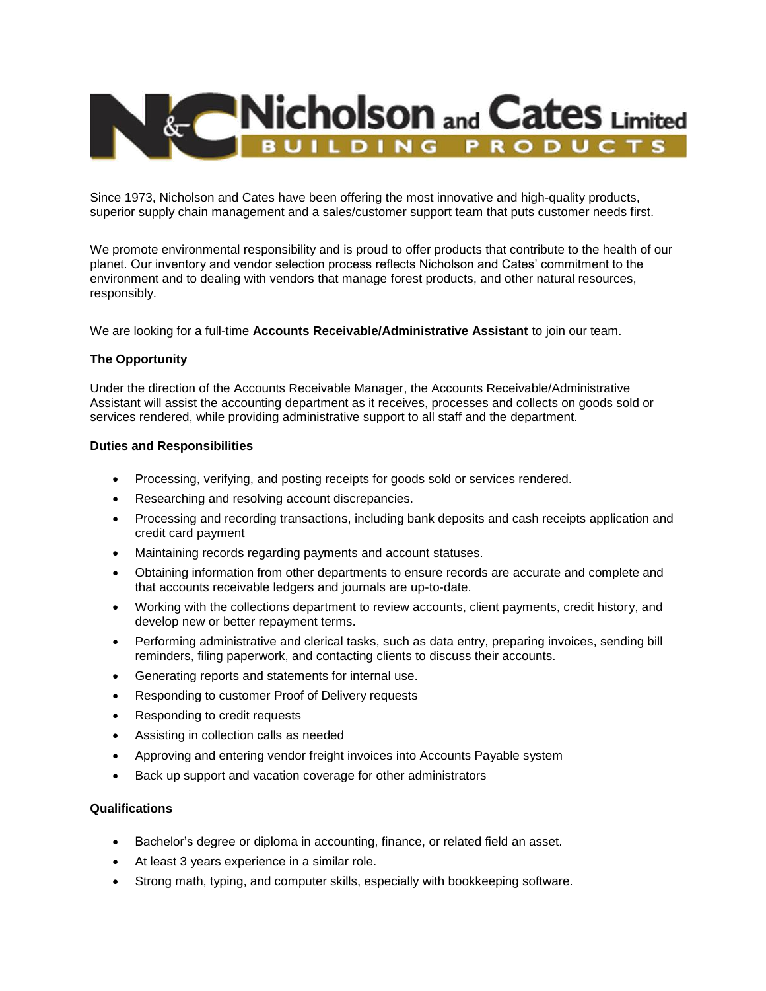

Since 1973, Nicholson and Cates have been offering the most innovative and high-quality products, superior supply chain management and a sales/customer support team that puts customer needs first.

We promote environmental responsibility and is proud to offer products that contribute to the health of our planet. Our inventory and vendor selection process reflects Nicholson and Cates' commitment to the environment and to dealing with vendors that manage forest products, and other natural resources, responsibly.

We are looking for a full-time **Accounts Receivable/Administrative Assistant** to join our team.

## **The Opportunity**

Under the direction of the Accounts Receivable Manager, the Accounts Receivable/Administrative Assistant will assist the accounting department as it receives, processes and collects on goods sold or services rendered, while providing administrative support to all staff and the department.

## **Duties and Responsibilities**

- Processing, verifying, and posting receipts for goods sold or services rendered.
- Researching and resolving account discrepancies.
- Processing and recording transactions, including bank deposits and cash receipts application and credit card payment
- Maintaining records regarding payments and account statuses.
- Obtaining information from other departments to ensure records are accurate and complete and that accounts receivable ledgers and journals are up-to-date.
- Working with the collections department to review accounts, client payments, credit history, and develop new or better repayment terms.
- Performing administrative and clerical tasks, such as data entry, preparing invoices, sending bill reminders, filing paperwork, and contacting clients to discuss their accounts.
- Generating reports and statements for internal use.
- Responding to customer Proof of Delivery requests
- Responding to credit requests
- Assisting in collection calls as needed
- Approving and entering vendor freight invoices into Accounts Payable system
- Back up support and vacation coverage for other administrators

## **Qualifications**

- Bachelor's degree or diploma in accounting, finance, or related field an asset.
- At least 3 years experience in a similar role.
- Strong math, typing, and computer skills, especially with bookkeeping software.